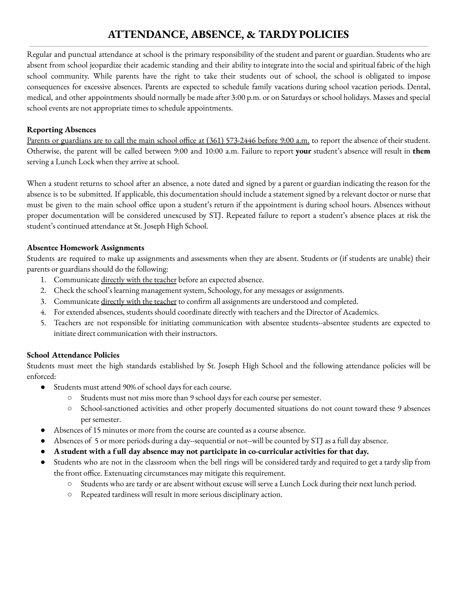# **ATTENDANCE, ABSENCE, & TARDYPOLICIES**

Regular and punctual attendance at school is the primary responsibility of the student and parent or guardian. Students who are absent from school jeopardize their academic standing and their ability to integrate into the social and spiritual fabric of the high school community. While parents have the right to take their students out of school, the school is obligated to impose consequences for excessive absences. Parents are expected to schedule family vacations during school vacation periods. Dental, medical, and other appointments should normally be made after 3:00 p.m. or on Saturdays or school holidays. Masses and special school events are not appropriate times to schedule appointments.

## **Reporting Absences**

Parents or guardians are to call the main school office at (361) 573-2446 before 9:00 a.m. to report the absence of their student. Otherwise, the parent will be called between 9:00 and 10:00 a.m. Failure to report **your** student's absence will result in **them** serving a Lunch Lock when they arrive at school.

When a student returns to school after an absence, a note dated and signed by a parent or guardian indicating the reason for the absence is to be submitted. If applicable, this documentation should include a statement signed by a relevant doctor or nurse that must be given to the main school office upon a student's return if the appointment is during school hours. Absences without proper documentation will be considered unexcused by STJ. Repeated failure to report a student's absence places at risk the student's continued attendance at St. Joseph High School.

## **Absentee Homework Assignments**

Students are required to make up assignments and assessments when they are absent. Students or (if students are unable) their parents or guardians should do the following:

- 1. Communicate directly with the teacher before an expected absence.
- 2. Check the school's learning management system, Schoology, for any messages or assignments.
- 3. Communicate directly with the teacher to confirm all assignments are understood and completed.
- 4. For extended absences, students should coordinate directly with teachers and the Director of Academics.
- 5. Teachers are not responsible for initiating communication with absentee students--absentee students are expected to initiate direct communication with their instructors.

## **School Attendance Policies**

Students must meet the high standards established by St. Joseph High School and the following attendance policies will be enforced:

- Students must attend 90% of school days for each course.
	- Students must not miss more than 9 school days for each course per semester.
	- School-sanctioned activities and other properly documented situations do not count toward these 9 absences per semester.
- Absences of 15 minutes or more from the course are counted as a course absence.
- Absences of 5 or more periods during a day--sequential or not--will be counted by STJ as a full day absence.
- **● A student with a f ull day absence may not participate in co-curricular activities for that day.**
- Students who are not in the classroom when the bell rings will be considered tardy and required to get a tardy slip from the front office. Extenuating circumstances may mitigate this requirement.
	- Students who are tardy or are absent without excuse will serve a Lunch Lock during their next lunch period.
	- Repeated tardiness will result in more serious disciplinary action.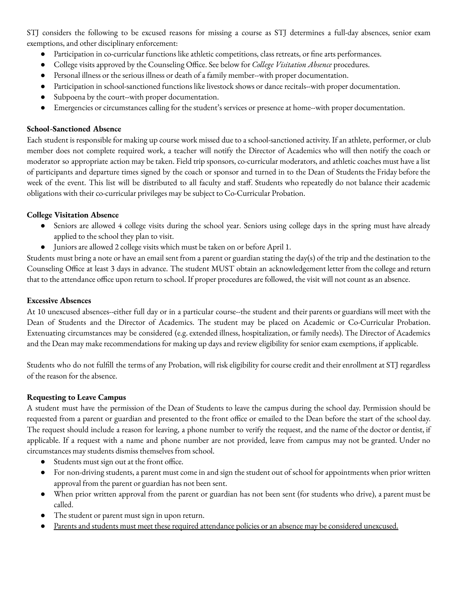STJ considers the following to be excused reasons for missing a course as STJ determines a full-day absences, senior exam exemptions, and other disciplinary enforcement:

- Participation in co-curricular functions like athletic competitions, class retreats, or fine arts performances.
- College visits approved by the Counseling Office. See below for *College Visitation Absence* procedures.
- Personal illness or the serious illness or death of a family member--with proper documentation.
- Participation in school-sanctioned functions like livestock shows or dance recitals--with proper documentation.
- Subpoena by the court--with proper documentation.
- Emergencies or circumstances calling for the student's services or presence at home--with proper documentation.

## **School-Sanctioned Absence**

Each student is responsible for making up course work missed due to a school-sanctioned activity. If an athlete, performer, or club member does not complete required work, a teacher will notify the Director of Academics who will then notify the coach or moderator so appropriate action may be taken. Field trip sponsors, co-curricular moderators, and athletic coaches must have a list of participants and departure times signed by the coach or sponsor and turned in to the Dean of Students the Friday before the week of the event. This list will be distributed to all faculty and staff. Students who repeatedly do not balance their academic obligations with their co-curricular privileges may be subject to Co-Curricular Probation.

#### **College Visitation Absence**

- Seniors are allowed 4 college visits during the school year. Seniors using college days in the spring must have already applied to the school they plan to visit.
- Juniors are allowed 2 college visits which must be taken on or before April 1.

Students must bring a note or have an email sent from a parent or guardian stating the day(s) of the trip and the destination to the Counseling Office at least 3 days in advance. The student MUST obtain an acknowledgement letter from the college and return that to the attendance office upon return to school. If proper procedures are followed, the visit will not count as an absence.

#### **Excessive Absences**

At 10 unexcused absences--either full day or in a particular course--the student and their parents or guardians will meet with the Dean of Students and the Director of Academics. The student may be placed on Academic or Co-Curricular Probation. Extenuating circumstances may be considered (e.g. extended illness, hospitalization, or family needs). The Director of Academics and the Dean may make recommendations for making up days and review eligibility for senior exam exemptions, if applicable.

Students who do not fulfill the terms of any Probation, will risk eligibility for course credit and their enrollment at STJ regardless of the reason for the absence.

## **Requesting to Leave Campus**

A student must have the permission of the Dean of Students to leave the campus during the school day. Permission should be requested from a parent or guardian and presented to the front office or emailed to the Dean before the start of the school day. The request should include a reason for leaving, a phone number to verify the request, and the name of the doctor or dentist, if applicable. If a request with a name and phone number are not provided, leave from campus may not be granted. Under no circumstances may students dismiss themselves from school.

- Students must sign out at the front office.
- For non-driving students, a parent must come in and sign the student out of school for appointments when prior written approval from the parent or guardian has not been sent.
- When prior written approval from the parent or guardian has not been sent (for students who drive), a parent must be called.
- The student or parent must sign in upon return.
- Parents and students must meet these required attendance policies or an absence may be considered unexcused.